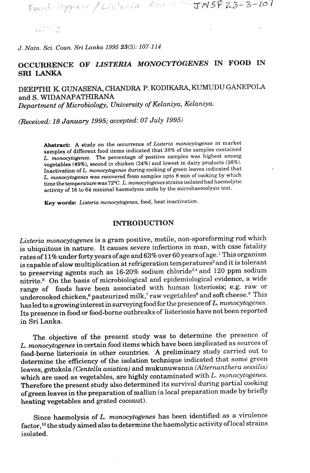Food Hygieve / Listenia Mansey TINSF23-3-107

 $65.70^{o}$ 

*J. Natn. Sci. Coun. Sri Lanka 1995* **23(3):** *107-114* 

# **OCCURRENCE OF** *LISTERIA MONOCYTOGENES* **IN FOOD** *IN*  **SRI LANKA**

## DEEPTHI **K.** GUNASENA, **CHANDRA** P. KODIKARA, **KUMUDU** GANEPOLA and S. WIDANAPATHIRANA Department of Microbiology, University of Kelaniya, Kelaniya.

(Received: 18 January 1995; accepted: 07 July 1995)

Abstract: A study on the occurrence of *Listeria monocytogenes* in market **samples of different food items indicated that 38% of the samples contained L. monocytogenes. The percentage of positive samples was highest among vegetables (49%), second in chicken (34%) and lowest in dairy products (26%). Inactivation of L. monocytogenes during cooking of green leaves indicated that L. monocytogenes was recovered from samples upto 8 min of cooking by which**  time the temperature was  $72^{\circ}$ C. *L. monocytogenes* strains isolated had haemolytic **activity of 16 to 64 minimal haemolysis units by the microhaemolysis test.** 

**Key words: Listeriu monocytogenes, food, heat inactivation.** 

### **INTRODUCTION**

Listeria monocytogenes is a gram positive, motile, non-sporeforming rod which is ubiquitous in nature. It causes severe infections in man, with case fatality rates of 11% under forty years of age and 63% over 60 years of age.<sup>1</sup> This organism is capable of slow multiplication at refrigeration temperatures<sup>2</sup> and it is tolerant to preserving agents such as  $16-20\%$  sodium chloride<sup>3,4</sup> and 120 ppm sodium nitrite.<sup>5</sup> On the basis of microbiological and epidemiological evidence, a wide range of foods have been associated with human listeriosis; e.g. raw or undercooked chicken,<sup>6</sup> pasteurized milk,<sup>7</sup> raw vegetables<sup>8</sup> and soft cheese.<sup>9</sup> This has led to a growinginterest in surveying food for the presence of L. monocytogenes. Its presence in food or food-borne outbreaks of listeriosis have not been reported in Sri Lanka.

The objective of the present study was to determine the presence of L. monocytogenes in certain food items which have been implicated as sources of food-borne listeriosis in other countries: A preliminary study. carried out to determine the efficiency of the isolation technique indicated that some green leaves, gotukola (Centella asiatica) and mukunuwanna (Alternanthera sessilis) which are used as vegetables, are highly contaminated with  $L$ . monocytogenes. Therefore the present study also determined its survival during partial cooking of green leaves in the preparation of mallun (a local preparation made by briefly heating vegetables and grated coconut).

Since haemolysis of L. monocytogenes has been identified as a virulence factor,<sup>10</sup> the study aimed also to determine the haemolytic activity of local strains isolated.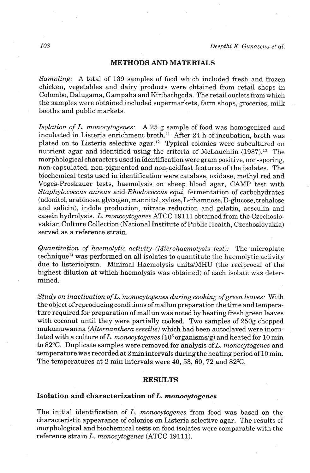### **METHODS AND MATERIALS**

*Sampling: A* total of 139 samples of food which included fresh and frozen chicken, vegetables and dairy products were obtained from retail shops in Colombo, Dalugama, Gampaha and Kiribathgoda. The retail outlets from which the samples were obtained included supermarkets, farm shops, groceries, milk booths and public markets.

*Is~lation of L. monocytogenes:* A 25 g sample of food was homogenized and incubated in Listeria enrichment broth.<sup>11</sup> After 24 h of incubation, broth was plated on to Listeria selective agar.12 Typical colonies were subcultured on nutrient agar and identified using the criteria of McLauchlin **(1987).13** The morphological characters used in identification were gram positive, non-sporing, non-capsulated, non-pigmented and non-acidfast features of the isolates. The biochemical tests used in identification were catalase, oxidase, methyl red and Voges-Proskauer tests, haemolysis on sheep blood agar, CAMP test with *Staphylococcus aureus* and *Rhodococcus equi,* fermentation of carbohydrates (adonitol, arabinose, glycogen, mannitol, xylose, L-rharnnose, D-glucose, trehalose and salicin), indole production, nitrate reduction and gelatin, aesculin and casein hydrolysis. L. *monocytogenes* ATCC 19111 obtained from the Czechoslovakian Culture Collection (National Institute of Public Health, Czechoslovakia) served as a reference strain.

*Quantitation of haemolytic activity (Microhaemolysis test):* The microplate techniquef4 was performed on **all** isolates to quantitate the haemolytic activity due to listeriolysin. Minimal Haemolysis units/MHU (the reciprocal of the highest dilution at which haemolysis was obtained) of each isolate was determined.

*Study on inactivation of* L. *monocytogenes during cooking ofgreen leaves:* With the object ofreproducing conditions of mallun preparation the time and temperature required for preparation of mallun was noted by heating fresh green leaves with coconut until they were partially cooked. Two samples of 250g chopped mukunuwanna *(Alternanthera sessilis)* which had been autoclaved were inoculated with a culture of L. *monocytogenes*  $(10^6 \text{ organisms/g})$  and heated for 10 min to 82<sup>o</sup>C. Duplicate samples were removed for analysis of L. *monocytogenes* and temperature was recorded at 2 min intervals during the heating period of 10 min. The temperatures at 2 min intervals were 40, 53, 60, 72 and 82 $^{\circ}$ C.

#### **RESULTS**

### **Isolation and characterization of L.** *monocytogenes*

The initial identification of L. *monocytogenes* from food was based on the characteristic appearance of colonies on Listeria selective agar. The results of inorphological and biochemical tests on food isolates were comparable with the reference strain L. *monocytogenes* (ATCC 19111).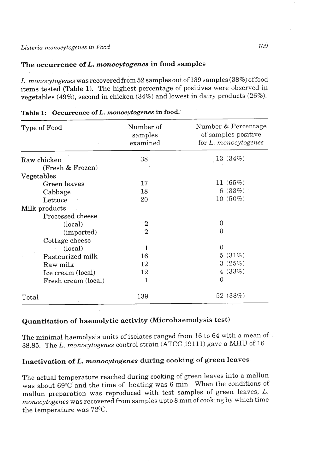### **The occurrence of** *L. moncscytogenes* **in food samples**

*L. monocytogenes* was recovered from 52 samples out of 139 samples (38%) of food items tested (Table 1). The highest percentage of positives were observed ip vegetables **(49%),** second in chicken (34%) and lowest in dairy products (26%).

| Type of Food        | Number of<br>samples<br>examined | Number & Percentage<br>of samples positive<br>for L. monocytogenes |
|---------------------|----------------------------------|--------------------------------------------------------------------|
| Raw chicken         | 38                               | 13(34%)                                                            |
| (Fresh & Frozen)    |                                  |                                                                    |
| Vegetables          |                                  |                                                                    |
| Green leaves        | 17                               | 11(65%)                                                            |
| Cabbage             | 18                               | 6(33%)                                                             |
| Lettuce             | 20                               | $10(50\%)$                                                         |
| Milk products       |                                  |                                                                    |
| Processed cheese    |                                  |                                                                    |
| (local)             | 2                                | 0                                                                  |
| (imported)          | $\mathbf{2}$                     | 0                                                                  |
| Cottage cheese      |                                  |                                                                    |
| (local)             | 1                                | $\theta$                                                           |
| Pasteurized milk    | 16                               | 5(31%)                                                             |
| Raw milk            | 12                               | 3(25%)                                                             |
| Ice cream (local)   | 12                               | 4 (33%)                                                            |
| Fresh cream (local) | 1                                | $\theta$                                                           |
| Total               | 139                              | 52 (38%)                                                           |

| Table 1: Occurrence of L. monocytogenes in food. |  |
|--------------------------------------------------|--|

## **Quantitation of haemolytic activity (Microhaemolysis test)**

The minimal haemolysis units of isolates ranged from 16 to 64 with a mean of 38.85. The L. *monocytogenes* control strain (ATCC 19111) gave a MHU of 16.

# **Inactivation of L.** *monocytogenes* **during cooking of green leaves**

The actual temperature reached during cooking of green leaves into a mallun was about 6g°C and the time of heating was 6 min. When the conditions of mallun preparation was reproduced with test samples of green leaves, L. *monocytogenes* was recovered from samples upto 8 min of cooking by which time the temperature was  $72^{\circ}$ C.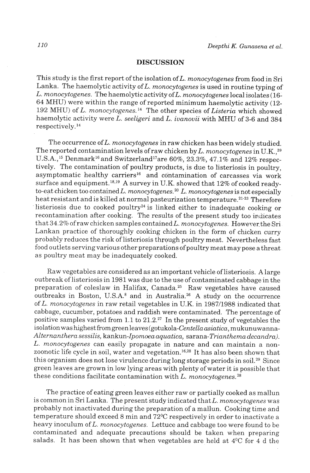### **DISCUSSION**

This study is the first report of the isolation of  $L$ . monocytogenes from food in Sri Lanka. The haemolytic activity of  $L$ . monocytogenes is used in routine typing of L. monocytogenes. The haemolytic activity of L. monocytogenes local isolates (16-64 MHU) were within the range of reported minimum haemolytic activity (12- 192 MHU) of L. monocytogenes.<sup>14</sup> The other species of Listeria which showed haemolytic activity were L. seeligeri and L. ivanovii with MHU of 3-6 and 384 respectively. **l4** 

The occurrence of L. monocytogenes in raw chicken has been widely studied. The reported contamination levels of raw chicken by L. monocytogenes in U.K.<sup>39</sup> U.S.A.,<sup>15</sup> Denmark<sup>16</sup> and Switzerland<sup>17</sup>are 60%, 23.3%, 47.1% and 12% respectively. The contamination of poultry products, is due to listeriosis in poultry, asymptomatic healthy carriers<sup>16</sup> and contamination of carcasses via work surface and equipment.<sup>18,19</sup> A survey in U.K. showed that  $12\%$  of cooked readyto-eat chicken too contained L. monocytogenes.<sup>20</sup> L. monocytogenes is not especially heat resistant and is killed at normal pasteurization temperature.<sup>21-23</sup> Therefore listeriosis due to cooked poultry<sup>24</sup> is linked either to inadequate cooking or recontamination after cooking. The results of the present study too indicates that 34.2% of raw chicken samples contained L. monocytogenes. However the Sri Lankan practice of thoroughly cooking chicken in the form of chicken curry probably reduces the risk of listeriosis through poultry meat. Nevertheless fast food outlets serving various other preparations of poultry meat may pose a threat. as poultry meat may be inadequately cooked.

Raw vegetables are considered as animportant vehicle oflisteriosis. Alarge outbreak of listeriosis in 1981 was due to the use of contaminated cabbage in the preparation of coleslaw in Halifax, Canada.25 Raw vegetables have caused outbreaks in Boston, U.S.A. $^8$  and in Australia.<sup>26</sup> A study on the occurrence of L. monocytogenes in raw retail vegetables in U.K. in 1987/1988 indicated that cabbage, cucumber, potatoes and raddish were contaminated. The percentage of positive samples varied from 1.1 to  $21.2$ .<sup>27</sup> In the present study of vegetables the isolation was highest fromgreenleaves **(gotukola-Centellaasiatica,** mukunuwanna-Alternanthera sessilis, kankun-Ipomoea aquatica, sarana-Trianthema decandra). L. monocytogenes can easily propagate in nature and can maintain a nonzoonotic life cycle in soil, water and vegetation.<sup>16,28</sup> It has also been shown that this organism does not lose virulence during long storage periods'in soil.29 Since green leaves are grown in low lying areas with plenty of water it is possible that these conditions facilitate contamination with L. monocytogenes.<sup>28</sup>

The practice of eating green leaves either raw or partially cooked as mallun is common in Sri Lanka. The present study indicated that  $L.$  monocytogenes was probably not inactivated during the preparation of a mallun. Cooking time and temperature should exceed 8 min and 72°C respectively in order to inactivate a heavy inoculum of L. monocytogenes. Lettuce and cabbage too were found to be contaminated and adequate precautions should be taken when preparing salads. It has been shown that when vegetables are held at  $4^{\circ}$ C for 4 d the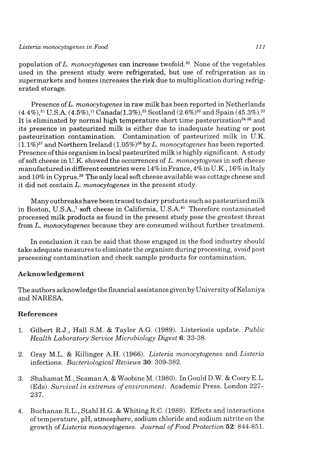#### *Listeria monocytogenes* **in** *Food 111*

population of *L. monocytogenes* can increase twofold.<sup>30</sup> None of the vegetables used in the present study were refrigerated, but use of refrigeration as in supermarkets and homes increases the risk due to multiplication during refrigerated storage.

Presence of *L. monocytogenes* in raw milk has been reported in Netherlands  $(4.4\%)$ ,<sup>31</sup> U.S.A.  $(4.5\%)$ ,<sup>11</sup> Canada(1.3%),<sup>23</sup> Scotland (2.6%)<sup>32</sup> and Spain (45.3%).<sup>33</sup> It is eliminated by normal high temperature short time pasteurization<sup>34-36</sup> and its presence in pasteurized milk is either due to inadequate heating or post pasteurization contamination. Contamination of pasteurized milk in U.K.  $(1.1\%)^{37}$  and Northern Ireland  $(1.05\%)^{38}$  by *L. monocytogenes* has been reported. Presence of this organism in local pasteurized milk is highly significant. A study of soft cheese in U.K. showed the occurrences of L. *monocytogenes* in soft cheese manufactured in different countries were  $14\%$  in France,  $4\%$  in U.K.,  $16\%$  in Italy and 10% in Cyprus.39 The only local soft cheese available was cottage cheese and it did not contain *L. monocytogenes* in the present study.

Many outbreaks have been traced to dairy products such as pasteurized milk in Boston, U.S.A.,7 soft cheese in California, U.S.A.40 Therefore contaminated processed milk products as found in the present study pose the greatest threat from L. *monocytogenes* because they are consumed without further treatment.

In conclusion it can be said that those engaged in the food industry should take adequate measures to eliminate the organism during processing, avoid post processing contamination and check sample products for contamination.

### **Acknowledgement**

The authors acknowledge the financial assistance given by University of Kelaniya and NARESA.

### **References**

- 1. Gilbert R.J., Hall S.M. & Taylor A.G. (1989). Listeriosis update. *Public Health Laboratory Service Microbiology Digest* **6:** 33-38.
- 2. Gray M.L. & Killinger A.H. (1966). *Listeria monocytogenes* and *Listeria*  infections, *Bacteriological Reviews* **30:** 309-382. , .
- **3.** Shahamat M., Seaman A. & Woobine M. (1980). 1nGouldD.W. & C0oryE.L. (Eds) *Survival in extremes of environment.* Academic Press. London 227- 237.
- **4.** Buchanan R.L., Stahl H.G. & Whiting R.C. (1989). Effects and interactions of temperature, pH, atmosphere, sodium chloride and sodium nitrite on the growth of *Listeria monocytogenes. Journal of Food Protection* **52:** 844-851.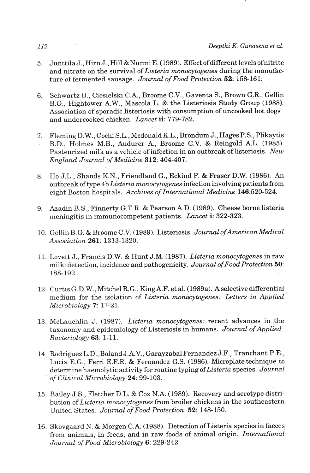- 5. Junttila J., Hirn J., Hill & Nurmi E. (1989). Effect of different levels of nitrite and nitrate on the survival of *Listeria manocytogenes* during the manufacture of fermented sausage. *Journal of Food Protection* **52:** 158-161.
- 6. Schwartz B., Ciesielski C.A., Broome C.V., Gaventa S., Brown G.R., Gellin B.G., Hightower A.W., Mascola L. & the Listeriosis Study Group (1988). Association of sporadic listeriosis with consumption of uncooked hot dogs and undercooked chicken. *Lancet* **ii:** 779-782.
- 7. Fleming D. W., Cochi S.L., Mcdonald K.L., Brondum J., Hages P.S., Plikaytis B.D., Holmes M.B., Audurer A., Broome C.V. & Reingold A.L. (1985). Pasteurized milk as a vehicle of infection in an outbreak of listeriosis. *New England Journal of Medicine 312:* 404-407.
- 8. Ho J.L., Shands K.N., Friendland G., Eckind P. & Fraser D.W. (1986). An outbreak of type 4b *Listeria monocytogenes* infectioninvolving patients from eight Boston hospitals. *Archives of International Medicine* 146:520-524.
- 9. Azadin B.S., Finnerty G.T.R. & Pearson A.D. (1989). Cheese borne listeria meningitis in immunocompetent patients. *Lancet* **i:** 322-323.
- 10. Gellin B.G. & Broome C.V. (1989). Listeriosis. *Journal ofAmerican Medical Association* 261: 1313-1320.
- 11. Lovett J., Francis D.W. & Hunt J.M. (1987). *Listeriu monocytogenes* in raw milk: detection, incidence and pathogenicity. *Journal ofFood Protection 50:*  188-192.
- 12. Curtis G.D.W., Mitchel R.G., King A.F. et al. (1989a). A selective differential medium for the isolation of *Listeria monocytogenes. Letters in Applied Microbiology 7:* 17-21.
- 13. McLauchlin J. (1987). *Listeria monocytogenes:* recent advances in the taxonomy and epidemiology of Listeriosis in humans. *Journal of Applied Bacteriology* **63**: 1-11.
- 14. Rodriguez L.D., Boland J.A.V., Garayzabal Fernandez J.F., Tranchant'P.E., Lucia E.G., Ferri E.F.R. & Fernandez G.S. (1986). Microplate technique to determine haemolytic activity for routine typing *ofListeria* species. *Journal of Clinical Microbiology 24:* 99-103.
- 15. Bailey J.S., Fletcher D.L. & Cox N.A. (1989). Recovery and serotype distribution of *Listeria monocytogenes* from broiler chickens in the southeastern United States. *Journal of Food Protection 52:* 148-150.
- 16. Skovgaard N. & Morgen C.A. (1988). Detection of Listeria species in faeces from animals, in feeds, and in raw foods of animal origin. *International Journal of Food Microbiology* 6: 229-242.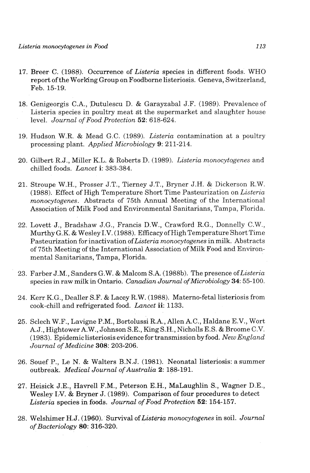- 17. Breer C. (1988). Occurrence of *Listeria* species in different foods. WHO report of the Working Group on Foodborne listeriosis. Geneva, Switzerland, Feb. 15-19.
- 18. Genigeorgis C.A., 'putulescu D. & Garayzabal J.F. (1989). Prevalence of Listeria species in poultry meat at the supermarket and slaughter house level. *Journal of Food Protection 52:* 618-624,
- 19. Hudson W.R. & Mead G.C. (1989). *Listeria* contamination at a poultry processing plant. *Applied Microbiology* 9: 211-214.
- 20. Gilbert R.J., Miller K.L. & Roberts D. (1989). *Listeria monocytogenes* and chilled foods. *Lancet* **i:** 383-384.
- 21. Stroupe W.H., Prosser J.T., Tierney J.T., Bryner J.H. & Dickerson R.W. (1988). Effect of High Temperature Short Time Pasteurization on *Listeria monocytogenes.* Abstracts of 75th **Annual** Meeting of the International Association of Milk Food and Environmental Sanitarians, Tampa, Florida.
- 22. Lovett J., Bradshaw J.G., Francis D.W., Crawford R.G., Donnelly C.W., Murthy G.K. & Wesley I.V. (1988). Efficacy of High Temperature Short Time Pasteurization for inactivation *ofListeria monocytogenes* in milk. Abstracts of 75th Meeting of the International Association of Milk Food and Environmental Sanitarians, Tampa, Florida.
- 23. Farber J.M., Sanders G.W. & Malcom S.A. (1988b). The presence *oflisteria*  species in raw milk in Ontario. *Canadian Journal ofMicrobiology 34:* 55-100.
- 24. Kerr K.G., Dealler S.F. & Lacey R.W. (1988). Materno-fetal listeriosis from cook-chill and refrigerated food. *Lancet* **ii:** 1133.
- 25. Sclech W.F., Lavigne P.M., Bortolussi R.A., Allen A.C., Haldane E.V., Wort A. J., Hightower A.W., Johnson S.E., King S.H., Nicholls E.S. & Broome C.V. (1983). Epidemic listeriosis evidence for transmission by food. New England *Journal of Medicine 308:* 203-206.
- 26. Souef P., Le N. & Walters B.N.J. (1981). Neonatal listeriosis: a summer outbreak. *Medical Journal of Australia 2:* 188-191.
- **27.** Heisick J.E., Havrell F.M., Peterson E.H., MaLaughlin S., Wagner D.E., Wesley 1:V. & **Bryner** J. (1989). Comparison of four procedures to detect *Listeria* species in foods. *Journal of Food Protection* **52:** 154-157.
- 28. Welshimer H. J. (1960). Survival of *Listtiria monocytogenes* in soil. *Journal of Bacteriology 80:* 316-320.